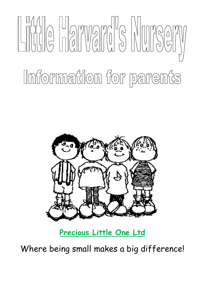# $\begin{array}{c} \begin{bmatrix} \begin{bmatrix} 1 & 1 \\ 1 & 1 \end{bmatrix} \end{bmatrix} \begin{bmatrix} 0 \\ 0 \end{bmatrix} & \begin{bmatrix} 1 & 1 \\ 0 & 1 \end{bmatrix} \end{array} \begin{bmatrix} 0 \\ 0 \end{bmatrix} & \begin{bmatrix} 0 \\ 0 \end{bmatrix} & \begin{bmatrix} 0 \\ 0 \end{bmatrix} & \begin{bmatrix} 0 \\ 0 \end{bmatrix} & \begin{bmatrix} 0 \\ 0 \end{bmatrix} & \begin{bmatrix} 0 \\ 0 \end{bmatrix} & \begin{bmatrix} 0 \\ 0 \end{bmatrix} & \begin{bmatrix}$ Information for parents



# **Precious Little One Ltd**

Where being small makes a big difference!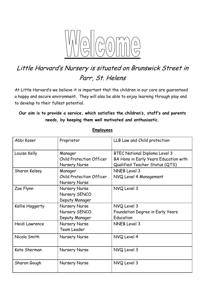

# Little Harvard's Nursery is situated on Brunswick Street in Parr, St. Helens

At Little Harvard's we believe it is important that the children in our care are guaranteed a happy and secure environment. They will also be able to enjoy learning through play and to develop to their fullest potential.

# **Our aim is to provide a service, which satisfies the children's, staff's and parents needs, by keeping them well motivated and enthusiastic.**

| Abbi Koser      | Proprietor                                                         | LLB Law and Child protection                                                                                    |
|-----------------|--------------------------------------------------------------------|-----------------------------------------------------------------------------------------------------------------|
| Louise Kelly    | Manager<br><b>Child Protection Officer</b><br><b>Nursery Nurse</b> | <b>BTEC National Diploma Level 3</b><br>BA Hons in Early Years Education with<br>Qualified Teacher Status (QTS) |
| Sharon Kelsey   | Manager<br><b>Child Protection Officer</b><br><b>Nursery Nurse</b> | <b>NNEB Level 3</b><br>NVQ Level 4 Management                                                                   |
| Zoe Flynn       | Nursery Nurse<br>Nursery SENCO<br>Deputy Manager                   | NVQ Level 3                                                                                                     |
| Kellie Haggerty | Nursery Nurse<br>Nursery SENCO<br>Deputy Manager                   | NVQ Level 3<br>Foundation Degree in Early Years<br>Education                                                    |
| Heidi Lawrence  | Nursery Nurse<br><b>Team Leader</b>                                | NNEB Level 3                                                                                                    |
| Nicola Smith    | Nursery Nurse                                                      | NVQ Level 4                                                                                                     |
| Kate Sherman    | Nursery Nurse                                                      | NVQ Level 3                                                                                                     |
| Sharon Gough    | <b>Nursery Nurse</b>                                               | NVQ Level 3                                                                                                     |

#### **Employees**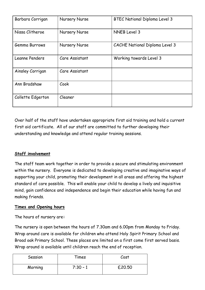| Barbara Corrigan  | <b>Nursery Nurse</b> | <b>BTEC National Diploma Level 3</b>  |
|-------------------|----------------------|---------------------------------------|
| Nissa Clitheroe   | Nursery Nurse        | NNEB Level 3                          |
| Gemma Burrows     | <b>Nursery Nurse</b> | <b>CACHE National Diploma Level 3</b> |
| Leanne Penders    | Care Assistant       | Working towards Level 3               |
| Ainsley Corrigan  | Care Assistant       |                                       |
| Ann Bradshaw      | Cook                 |                                       |
| Collette Edgerton | Cleaner              |                                       |

Over half of the staff have undertaken appropriate first aid training and hold a current first aid certificate. All of our staff are committed to further developing their understanding and knowledge and attend regular training sessions.

# **Staff involvement**

The staff team work together in order to provide a secure and stimulating environment within the nursery. Everyone is dedicated to developing creative and imaginative ways of supporting your child, promoting their development in all areas and offering the highest standard of care possible. This will enable your child to develop a lively and inquisitive mind, gain confidence and independence and begin their education while having fun and making friends.

#### **Times and Opening hours**

The hours of nursery are**:**

The nursery is open between the hours of 7.30am and 6.00pm from Monday to Friday. Wrap around care is available for children who attend Holy Spirit Primary School and Broad oak Primary School. These places are limited on a first come first served basis. Wrap around is available until children reach the end of reception.

| Session | Times      | Cost   |
|---------|------------|--------|
| Morning | $7:30 - 1$ | £20.50 |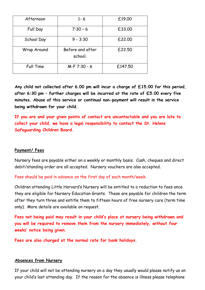| Afternoon   | $1 - 6$                     | £19.00  |
|-------------|-----------------------------|---------|
| Full Day    | $7:30 - 6$                  | £33.00  |
| School Day  | $9 - 3:30$                  | £22.00  |
| Wrap Around | Before and after<br>school. | £22.50  |
| Full Time   | M-F 7:30 - 6                | £147.50 |

**Any child not collected after 6.00 pm will incur a charge of £15.00 for this period, after 6:30 pm – further charges will be incurred at the rate of £5.00 every five minutes. Abuse of this service or continual non-payment will result in the service being withdrawn for your child.**

**If you are and your given points of contact are uncontactable and you are late to collect your child, we have a legal responsibility to contact the St. Helens Safeguarding Children Board.** 

#### **Payment/ Fees**

Nursery fees are payable either on a weekly or monthly basis. Cash, cheques and direct debit/standing order are all accepted. Nursery vouchers are also accepted.

Fees should be paid in advance on the first day of each month/week.

Children attending Little Harvard's Nursery will be entitled to a reduction to fees once they are eligible for Nursery Education Grants. These are payable for children the term after they turn three and entitle them to fifteen hours of free nursery care (term time only). More details are available on request.

**Fees not being paid may result in your child's place at nursery being withdrawn and you will be required to remove them from the nursery immediately, without four weeks' notice being given.**

**Fees are also charged at the normal rate for bank holidays.**

#### **Absences from Nursery**

If your child will not be attending nursery on a day they usually would please notify us on your child's last attending day. If the reason for the absence is illness please telephone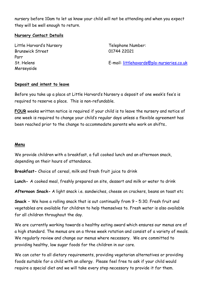nursery before 10am to let us know your child will not be attending and when you expect they will be well enough to return.

#### **Nursery Contact Details**

Little Harvard's Nursery Brunswick Street Parr St. Helens Merseyside

Telephone Number: 01744 22021

E-mail: [littlehavards@plo-nurseries.co.uk](mailto:littlehavards@plo-nurseries.co.uk)

#### **Deposit and intent to leave**

Before you take up a place at Little Harvard's Nursery a deposit of one week's fee's is required to reserve a place. This is non-refundable.

**FOUR** weeks written notice is required if your child is to leave the nursery and notice of one week is required to change your child's regular days unless a flexible agreement has been reached prior to the change to accommodate parents who work on shifts..

#### **Menu**

We provide children with a breakfast, a full cooked lunch and an afternoon snack, depending on their hours of attendance.

**Breakfast-** Choice of cereal, milk and fresh fruit juice to drink

**Lunch-** A cooked meal, freshly prepared on site, dessert and milk or water to drink

**Afternoon Snack-** A light snack i.e. sandwiches, cheese on crackers, beans on toast etc

**Snack –** We have a rolling snack that is out continually from 9 – 5:30. Fresh fruit and vegetables are available for children to help themselves to. Fresh water is also available for all children throughout the day.

We are currently working towards a healthy eating award which ensures our menus are of a high standard. The menus are on a three week rotation and consist of a variety of meals. We regularly review and change our menus where necessary. We are committed to providing healthy, low sugar foods for the children in our care.

We can cater to all dietary requirements, providing vegetarian alternatives or providing foods suitable for a child with an allergy. Please feel free to ask if your child would require a special diet and we will take every step necessary to provide it for them.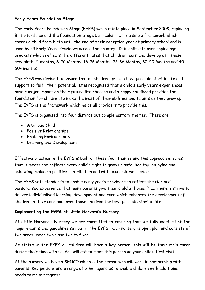## **Early Years Foundation Stage**

The Early Years Foundation Stage (EYFS) was put into place in September 2008, replacing Birth-to-three and the Foundation Stage Curriculum. It is a single framework which covers a child from birth until the end of their reception year at primary school and is used by all Early Years Providers across the country. It is split into overlapping age brackets which reflects the different rates that children learn and develop at. These are: birth-11 months, 8-20 Months, 16-26 Months, 22-36 Months, 30-50 Months and 40- 60+ months.

The EYFS was devised to ensure that all children get the best possible start in life and support to fulfil their potential. It is recognised that a child's early years experiences have a major impact on their future life chances and a happy childhood provides the foundation for children to make the most of their abilities and talents as they grow up. The EYFS is the framework which helps all providers to provide this.

The EYFS is organised into four distinct but complementary themes. These are:

- A Unique Child
- Positive Relationships
- Enabling Environments
- Learning and Development

Effective practice in the EYFS is built on these four themes and this approach ensures that it meets and reflects every child's right to grow up safe, healthy, enjoying and achieving, making a positive contribution and with economic well-being.

The EYFS sets standards to enable early year's providers to reflect the rich and personalised experience that many parents give their child at home. Practitioners strive to deliver individualised learning, development and care which enhances the development of children in their care and gives those children the best possible start in life.

# **Implementing the EYFS at Little Harvard's Nursery**

At Little Harvard's Nursery we are committed to ensuring that we fully meet all of the requirements and guidelines set out in the EYFS. Our nursery is open plan and consists of two areas under two's and two to fives.

As stated in the EYFS all children will have a key person, this will be their main carer during their time with us. You will get to meet this person on your child's first visit.

At the nursery we have a SENCO which is the person who will work in partnership with parents, Key persons and a range of other agencies to enable children with additional needs to make progress.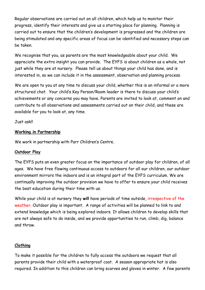Regular observations are carried out on all children, which help us to monitor their progress, identify their interests and give us a starting place for planning. Planning is carried out to ensure that the children's development is progressed and the children are being stimulated and any specific areas of focus can be identified and necessary steps can be taken.

We recognise that you, as parents are the most knowledgeable about your child. We appreciate the extra insight you can provide. The EYFS is about children as a whole, not just while they are at nursery. Please tell us about things your child has done, and is interested in, so we can include it in the assessment, observation and planning process.

We are open to you at any time to discuss your child, whether this is an informal or a more structured chat. Your child's Key Person/Room leader is there to discuss your child's achievements or any concerns you may have. Parents are invited to look at, comment on and contribute to all observations and assessments carried out on their child, and these are available for you to look at, any time.

Just ask!!

### **Working in Partnership**

We work in partnership with Parr Children's Centre.

#### **Outdoor Play**

The EYFS puts an even greater focus on the importance of outdoor play for children, of all ages. We have free flowing continuous access to outdoors for all our children, our outdoor environment mirrors the indoors and is an integral part of the EYFS curriculum. We are continually improving the outdoor provision we have to offer to ensure your child receives the best education during their time with us.

While your child is at nursery they **will** have periods of time outside, irrespective of the weather. Outdoor play is important. A range of activities will be planned to link to and extend knowledge which is being explored indoors. It allows children to develop skills that are not always safe to do inside, and we provide opportunities to run, climb, dig, balance and throw.

# **Clothing**

To make it possible for the children to fully access the outdoors we request that all parents provide their child with a waterproof coat. A season appropriate hat is also required. In addition to this children can bring scarves and gloves in winter. A few parents